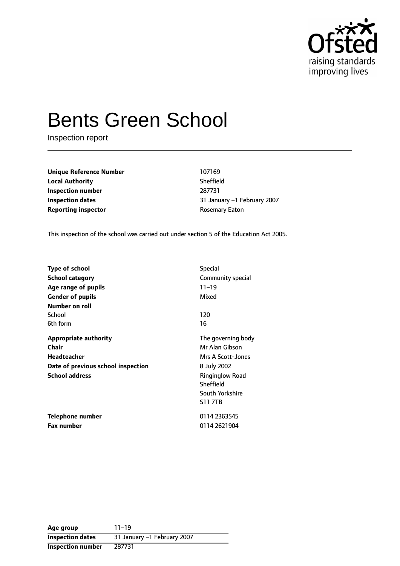

# Bents Green School

Inspection report

**Unique Reference Number** 107169 **Local Authority** Sheffield **Inspection number** 287731 **Reporting inspector CONSERVING REPORTING REPORT** ROSEMATY Eaton

**Inspection dates 1.1 Accord 2007 1.1 Accord 2007 1.1 Accord 2007 1.1 Accord 2007 1.1 Accord 2007** 

This inspection of the school was carried out under section 5 of the Education Act 2005.

| <b>Type of school</b>              | <b>Special</b>         |
|------------------------------------|------------------------|
| <b>School category</b>             | Community special      |
| Age range of pupils                | $11 - 19$              |
| <b>Gender of pupils</b>            | Mixed                  |
| Number on roll                     |                        |
| School                             | 120                    |
| 6th form                           | 16                     |
| <b>Appropriate authority</b>       | The governing body     |
| Chair                              | Mr Alan Gibson         |
| <b>Headteacher</b>                 | Mrs A Scott-Jones      |
| Date of previous school inspection | 8 July 2002            |
| <b>School address</b>              | <b>Ringinglow Road</b> |
|                                    | Sheffield              |
|                                    | South Yorkshire        |
|                                    | <b>S11 7TB</b>         |
| Telephone number                   | 0114 2363545           |
| Fax number                         | 0114 2621904           |

| Age group               | $11 - 19$                   |
|-------------------------|-----------------------------|
| <b>Inspection dates</b> | 31 January -1 February 2007 |
| Inspection number       | 287731                      |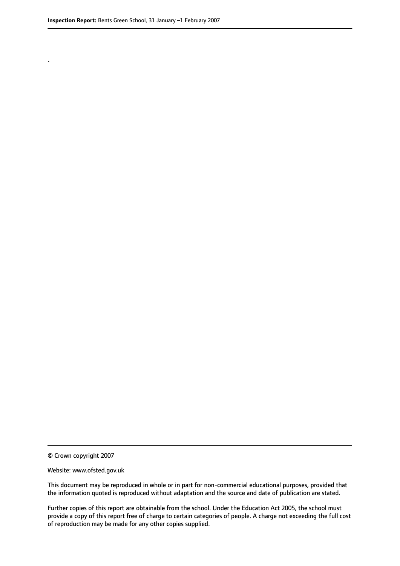.

© Crown copyright 2007

#### Website: www.ofsted.gov.uk

This document may be reproduced in whole or in part for non-commercial educational purposes, provided that the information quoted is reproduced without adaptation and the source and date of publication are stated.

Further copies of this report are obtainable from the school. Under the Education Act 2005, the school must provide a copy of this report free of charge to certain categories of people. A charge not exceeding the full cost of reproduction may be made for any other copies supplied.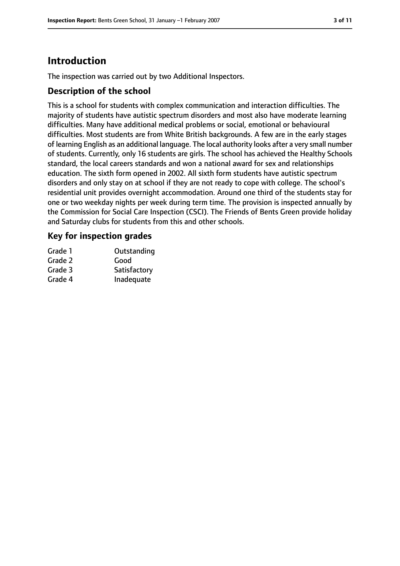# **Introduction**

The inspection was carried out by two Additional Inspectors.

## **Description of the school**

This is a school for students with complex communication and interaction difficulties. The majority of students have autistic spectrum disorders and most also have moderate learning difficulties. Many have additional medical problems or social, emotional or behavioural difficulties. Most students are from White British backgrounds. A few are in the early stages of learning English as an additional language. The local authority looks after a very small number of students. Currently, only 16 students are girls. The school has achieved the Healthy Schools standard, the local careers standards and won a national award for sex and relationships education. The sixth form opened in 2002. All sixth form students have autistic spectrum disorders and only stay on at school if they are not ready to cope with college. The school's residential unit provides overnight accommodation. Around one third of the students stay for one or two weekday nights per week during term time. The provision is inspected annually by the Commission for Social Care Inspection (CSCI). The Friends of Bents Green provide holiday and Saturday clubs for students from this and other schools.

## **Key for inspection grades**

| Grade 1 | Outstanding  |
|---------|--------------|
| Grade 2 | Good         |
| Grade 3 | Satisfactory |
| Grade 4 | Inadequate   |
|         |              |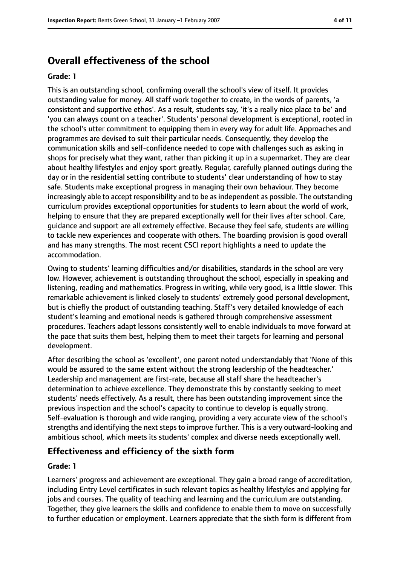# **Overall effectiveness of the school**

#### **Grade: 1**

This is an outstanding school, confirming overall the school's view of itself. It provides outstanding value for money. All staff work together to create, in the words of parents, 'a consistent and supportive ethos'. As a result, students say, 'it's a really nice place to be' and 'you can always count on a teacher'. Students' personal development is exceptional, rooted in the school's utter commitment to equipping them in every way for adult life. Approaches and programmes are devised to suit their particular needs. Consequently, they develop the communication skills and self-confidence needed to cope with challenges such as asking in shops for precisely what they want, rather than picking it up in a supermarket. They are clear about healthy lifestyles and enjoy sport greatly. Regular, carefully planned outings during the day or in the residential setting contribute to students' clear understanding of how to stay safe. Students make exceptional progress in managing their own behaviour. They become increasingly able to accept responsibility and to be as independent as possible. The outstanding curriculum provides exceptional opportunities for students to learn about the world of work, helping to ensure that they are prepared exceptionally well for their lives after school. Care, guidance and support are all extremely effective. Because they feel safe, students are willing to tackle new experiences and cooperate with others. The boarding provision is good overall and has many strengths. The most recent CSCI report highlights a need to update the accommodation.

Owing to students' learning difficulties and/or disabilities, standards in the school are very low. However, achievement is outstanding throughout the school, especially in speaking and listening, reading and mathematics. Progress in writing, while very good, is a little slower. This remarkable achievement is linked closely to students' extremely good personal development, but is chiefly the product of outstanding teaching. Staff's very detailed knowledge of each student's learning and emotional needs is gathered through comprehensive assessment procedures. Teachers adapt lessons consistently well to enable individuals to move forward at the pace that suits them best, helping them to meet their targets for learning and personal development.

After describing the school as 'excellent', one parent noted understandably that 'None of this would be assured to the same extent without the strong leadership of the headteacher.' Leadership and management are first-rate, because all staff share the headteacher's determination to achieve excellence. They demonstrate this by constantly seeking to meet students' needs effectively. As a result, there has been outstanding improvement since the previous inspection and the school's capacity to continue to develop is equally strong. Self-evaluation is thorough and wide ranging, providing a very accurate view of the school's strengths and identifying the next steps to improve further. This is a very outward-looking and ambitious school, which meets its students' complex and diverse needs exceptionally well.

#### **Effectiveness and efficiency of the sixth form**

#### **Grade: 1**

Learners' progress and achievement are exceptional. They gain a broad range of accreditation, including Entry Level certificates in such relevant topics as healthy lifestyles and applying for jobs and courses. The quality of teaching and learning and the curriculum are outstanding. Together, they give learners the skills and confidence to enable them to move on successfully to further education or employment. Learners appreciate that the sixth form is different from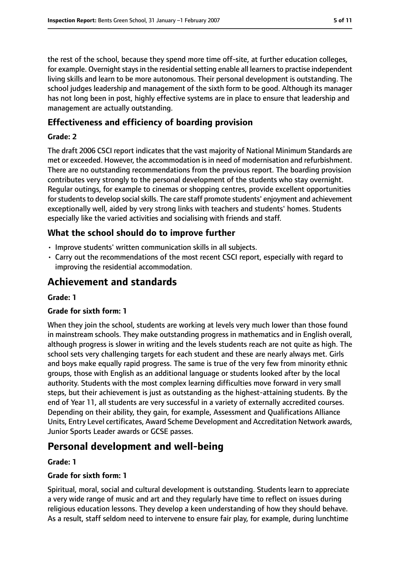the rest of the school, because they spend more time off-site, at further education colleges, for example. Overnight stays in the residential setting enable all learners to practise independent living skills and learn to be more autonomous. Their personal development is outstanding. The school judges leadership and management of the sixth form to be good. Although its manager has not long been in post, highly effective systems are in place to ensure that leadership and management are actually outstanding.

# **Effectiveness and efficiency of boarding provision**

## **Grade: 2**

The draft 2006 CSCI report indicates that the vast majority of National Minimum Standards are met or exceeded. However, the accommodation is in need of modernisation and refurbishment. There are no outstanding recommendations from the previous report. The boarding provision contributes very strongly to the personal development of the students who stay overnight. Regular outings, for example to cinemas or shopping centres, provide excellent opportunities for students to develop social skills. The care staff promote students' enjoyment and achievement exceptionally well, aided by very strong links with teachers and students' homes. Students especially like the varied activities and socialising with friends and staff.

# **What the school should do to improve further**

- Improve students' written communication skills in all subjects.
- Carry out the recommendations of the most recent CSCI report, especially with regard to improving the residential accommodation.

# **Achievement and standards**

#### **Grade: 1**

#### **Grade for sixth form: 1**

When they join the school, students are working at levels very much lower than those found in mainstream schools. They make outstanding progress in mathematics and in English overall, although progress is slower in writing and the levels students reach are not quite as high. The school sets very challenging targets for each student and these are nearly always met. Girls and boys make equally rapid progress. The same is true of the very few from minority ethnic groups, those with English as an additional language or students looked after by the local authority. Students with the most complex learning difficulties move forward in very small steps, but their achievement is just as outstanding as the highest-attaining students. By the end of Year 11, all students are very successful in a variety of externally accredited courses. Depending on their ability, they gain, for example, Assessment and Qualifications Alliance Units, Entry Level certificates, Award Scheme Development and Accreditation Network awards, Junior Sports Leader awards or GCSE passes.

# **Personal development and well-being**

#### **Grade: 1**

#### **Grade for sixth form: 1**

Spiritual, moral, social and cultural development is outstanding. Students learn to appreciate a very wide range of music and art and they regularly have time to reflect on issues during religious education lessons. They develop a keen understanding of how they should behave. As a result, staff seldom need to intervene to ensure fair play, for example, during lunchtime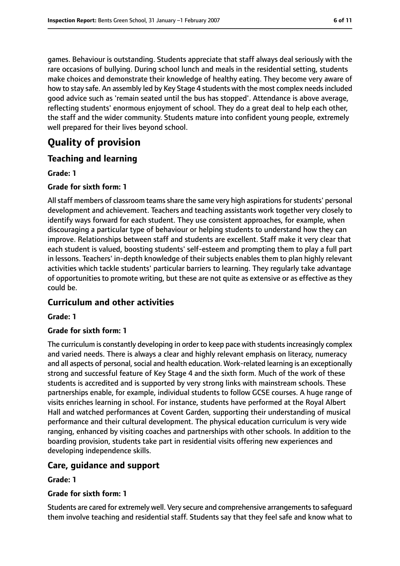games. Behaviour is outstanding. Students appreciate that staff always deal seriously with the rare occasions of bullying. During school lunch and meals in the residential setting, students make choices and demonstrate their knowledge of healthy eating. They become very aware of how to stay safe. An assembly led by Key Stage 4 students with the most complex needsincluded good advice such as 'remain seated until the bus has stopped'. Attendance is above average, reflecting students' enormous enjoyment of school. They do a great deal to help each other, the staff and the wider community. Students mature into confident young people, extremely well prepared for their lives beyond school.

# **Quality of provision**

## **Teaching and learning**

#### **Grade: 1**

#### **Grade for sixth form: 1**

All staff members of classroom teams share the same very high aspirations for students' personal development and achievement. Teachers and teaching assistants work together very closely to identify ways forward for each student. They use consistent approaches, for example, when discouraging a particular type of behaviour or helping students to understand how they can improve. Relationships between staff and students are excellent. Staff make it very clear that each student is valued, boosting students' self-esteem and prompting them to play a full part in lessons. Teachers' in-depth knowledge of their subjects enables them to plan highly relevant activities which tackle students' particular barriers to learning. They regularly take advantage of opportunities to promote writing, but these are not quite as extensive or as effective as they could be.

#### **Curriculum and other activities**

#### **Grade: 1**

#### **Grade for sixth form: 1**

The curriculum is constantly developing in order to keep pace with students increasingly complex and varied needs. There is always a clear and highly relevant emphasis on literacy, numeracy and all aspects of personal, social and health education. Work-related learning is an exceptionally strong and successful feature of Key Stage 4 and the sixth form. Much of the work of these students is accredited and is supported by very strong links with mainstream schools. These partnerships enable, for example, individual students to follow GCSE courses. A huge range of visits enriches learning in school. For instance, students have performed at the Royal Albert Hall and watched performances at Covent Garden, supporting their understanding of musical performance and their cultural development. The physical education curriculum is very wide ranging, enhanced by visiting coaches and partnerships with other schools. In addition to the boarding provision, students take part in residential visits offering new experiences and developing independence skills.

#### **Care, guidance and support**

#### **Grade: 1**

#### **Grade for sixth form: 1**

Students are cared for extremely well. Very secure and comprehensive arrangements to safeguard them involve teaching and residential staff. Students say that they feel safe and know what to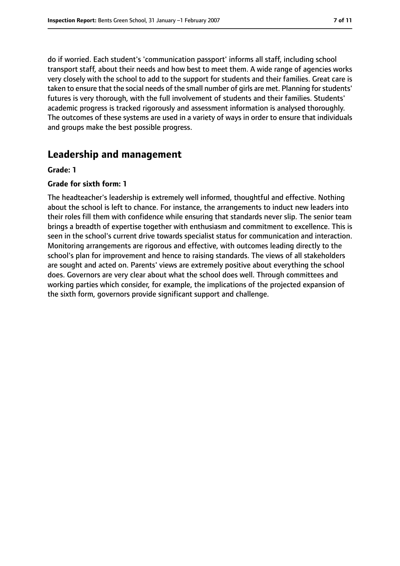do if worried. Each student's 'communication passport' informs all staff, including school transport staff, about their needs and how best to meet them. A wide range of agencies works very closely with the school to add to the support for students and their families. Great care is taken to ensure that the social needs of the small number of girls are met. Planning forstudents' futures is very thorough, with the full involvement of students and their families. Students' academic progress is tracked rigorously and assessment information is analysed thoroughly. The outcomes of these systems are used in a variety of ways in order to ensure that individuals and groups make the best possible progress.

# **Leadership and management**

#### **Grade: 1**

#### **Grade for sixth form: 1**

The headteacher's leadership is extremely well informed, thoughtful and effective. Nothing about the school is left to chance. For instance, the arrangements to induct new leaders into their roles fill them with confidence while ensuring that standards never slip. The senior team brings a breadth of expertise together with enthusiasm and commitment to excellence. This is seen in the school's current drive towards specialist status for communication and interaction. Monitoring arrangements are rigorous and effective, with outcomes leading directly to the school's plan for improvement and hence to raising standards. The views of all stakeholders are sought and acted on. Parents' views are extremely positive about everything the school does. Governors are very clear about what the school does well. Through committees and working parties which consider, for example, the implications of the projected expansion of the sixth form, governors provide significant support and challenge.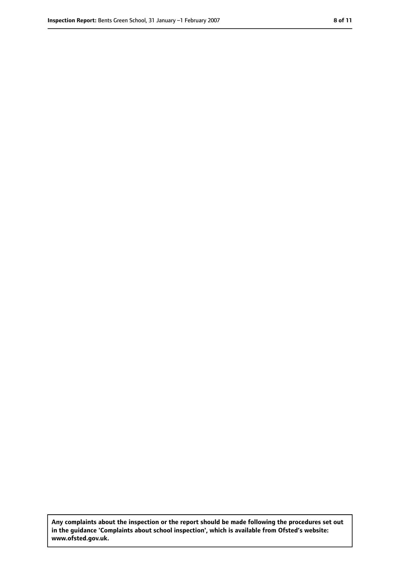**Any complaints about the inspection or the report should be made following the procedures set out in the guidance 'Complaints about school inspection', which is available from Ofsted's website: www.ofsted.gov.uk.**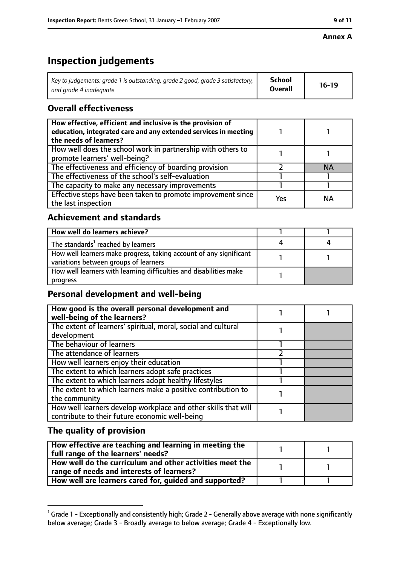#### **Annex A**

# **Inspection judgements**

| Key to judgements: grade 1 is outstanding, grade 2 good, grade 3 satisfactory, $\vert$ | School         | $16-19$ |
|----------------------------------------------------------------------------------------|----------------|---------|
| and arade 4 inadeauate                                                                 | <b>Overall</b> |         |

# **Overall effectiveness**

| How effective, efficient and inclusive is the provision of<br>education, integrated care and any extended services in meeting<br>the needs of learners? |     |           |
|---------------------------------------------------------------------------------------------------------------------------------------------------------|-----|-----------|
| How well does the school work in partnership with others to<br>promote learners' well-being?                                                            |     |           |
| The effectiveness and efficiency of boarding provision                                                                                                  |     | <b>NA</b> |
| The effectiveness of the school's self-evaluation                                                                                                       |     |           |
| The capacity to make any necessary improvements                                                                                                         |     |           |
| Effective steps have been taken to promote improvement since<br>the last inspection                                                                     | Yes | <b>NA</b> |

# **Achievement and standards**

| How well do learners achieve?                                                                               |  |
|-------------------------------------------------------------------------------------------------------------|--|
| The standards <sup>1</sup> reached by learners                                                              |  |
| How well learners make progress, taking account of any significant<br>variations between groups of learners |  |
| How well learners with learning difficulties and disabilities make<br>progress                              |  |

## **Personal development and well-being**

| How good is the overall personal development and<br>well-being of the learners?                                  |  |
|------------------------------------------------------------------------------------------------------------------|--|
| The extent of learners' spiritual, moral, social and cultural<br>development                                     |  |
| The behaviour of learners                                                                                        |  |
| The attendance of learners                                                                                       |  |
| How well learners enjoy their education                                                                          |  |
| The extent to which learners adopt safe practices                                                                |  |
| The extent to which learners adopt healthy lifestyles                                                            |  |
| The extent to which learners make a positive contribution to<br>the community                                    |  |
| How well learners develop workplace and other skills that will<br>contribute to their future economic well-being |  |

## **The quality of provision**

| How effective are teaching and learning in meeting the<br>full range of the learners' needs?          |  |
|-------------------------------------------------------------------------------------------------------|--|
| How well do the curriculum and other activities meet the<br>range of needs and interests of learners? |  |
| How well are learners cared for, guided and supported?                                                |  |

 $^1$  Grade 1 - Exceptionally and consistently high; Grade 2 - Generally above average with none significantly below average; Grade 3 - Broadly average to below average; Grade 4 - Exceptionally low.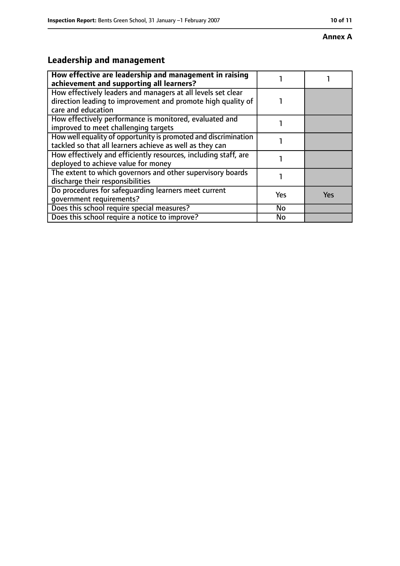#### **Annex A**

# **Leadership and management**

| How effective are leadership and management in raising<br>achievement and supporting all learners?                                                 |           |            |
|----------------------------------------------------------------------------------------------------------------------------------------------------|-----------|------------|
| How effectively leaders and managers at all levels set clear<br>direction leading to improvement and promote high quality of<br>care and education |           |            |
| How effectively performance is monitored, evaluated and<br>improved to meet challenging targets                                                    |           |            |
| How well equality of opportunity is promoted and discrimination<br>tackled so that all learners achieve as well as they can                        |           |            |
| How effectively and efficiently resources, including staff, are<br>deployed to achieve value for money                                             |           |            |
| The extent to which governors and other supervisory boards<br>discharge their responsibilities                                                     |           |            |
| Do procedures for safequarding learners meet current<br>qovernment requirements?                                                                   | Yes       | <b>Yes</b> |
| Does this school require special measures?                                                                                                         | No        |            |
| Does this school require a notice to improve?                                                                                                      | <b>No</b> |            |